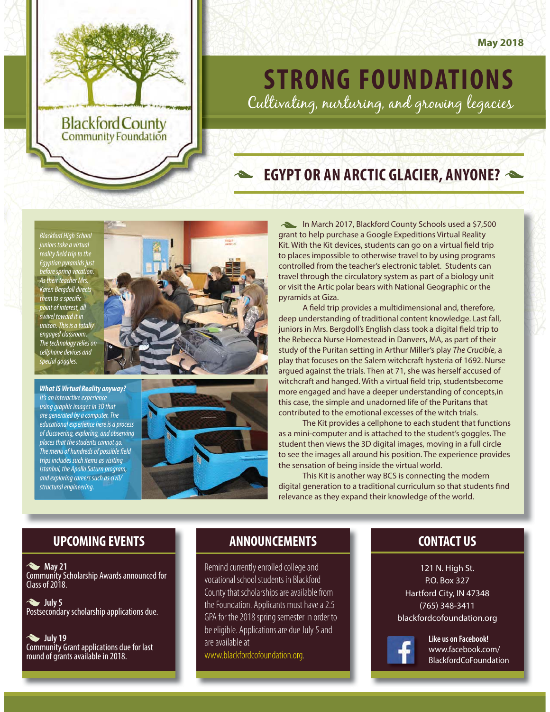

# Cultivating, nurturing, and growing legacies

# **EGYPT OR ANYONE CONTROL**

Blackford High School juniors take a virtual reality field trip to the Egyptian pyramids just before spring vacation. As their teacher Mrs. Karen Bergdoll directs them to a specific  $\sin t$  of interest, all swivel toward it in unison. This is a totally engaged classroom. The technology relies on cellphone devices and special goggles.



*What IS Virtual Reality anyway?* It's an interactive experience using graphic images in 3D that are generated by a computer. The educational experience here is a process of discovering, exploring, and observing places that the students cannot go. The menu of hundreds of possible field trips includes such items as visiting Istanbul, the Apollo Saturn program, and exploring careers such as civil/ structural engineering.



In March 2017, Blackford County Schools used a \$7,500 grant to help purchase a Google Expeditions Virtual Reality Kit. With the Kit devices, students can go on a virtual field trip to places impossible to otherwise travel to by using programs controlled from the teacher's electronic tablet. Students can travel through the circulatory system as part of a biology unit or visit the Artic polar bears with National Geographic or the pyramids at Giza.

A field trip provides a multidimensional and, therefore, deep understanding of traditional content knowledge. Last fall, juniors in Mrs. Bergdoll's English class took a digital field trip to the Rebecca Nurse Homestead in Danvers, MA, as part of their study of the Puritan setting in Arthur Miller's play The Crucible, a play that focuses on the Salem witchcraft hysteria of 1692. Nurse argued against the trials. Then at 71, she was herself accused of witchcraft and hanged. With a virtual field trip, studentsbecome more engaged and have a deeper understanding of concepts,in this case, the simple and unadorned life of the Puritans that contributed to the emotional excesses of the witch trials.

The Kit provides a cellphone to each student that functions as a mini-computer and is attached to the student's goggles. The student then views the 3D digital images, moving in a full circle to see the images all around his position. The experience provides the sensation of being inside the virtual world.

This Kit is another way BCS is connecting the modern digital generation to a traditional curriculum so that students find relevance as they expand their knowledge of the world.

### **UPCOMING EVENTS UPCOMING EVENTS ANNOUNCEMENTS CONTACT US**

 **May 21** Community Scholarship Awards announced for Class of 2018.

 **July 5** Postsecondary scholarship applications due.

 **July 19** Community Grant applications due for last round of grants available in 2018.

Remind currently enrolled college and vocational school students in Blackford County that scholarships are available from the Foundation. Applicants must have a 2.5 GPA for the 2018 spring semester in order to be eligible. Applications are due July 5 and are available at

www.blackfordcofoundation.org.

121 N. High St. P.O. Box 327 Hartford City, IN 47348 (765) 348-3411 blackfordcofoundation.org



**Like us on Facebook!** www.facebook.com/ BlackfordCoFoundation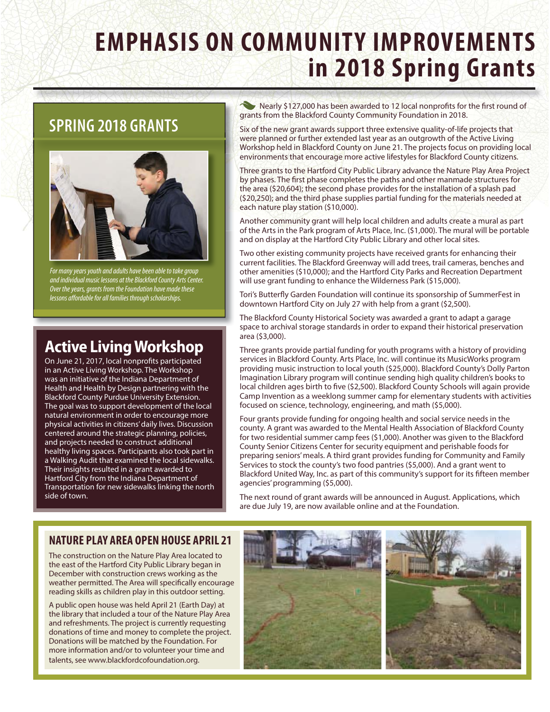# **EMPHAGIS ON COMMUNITY SIMPLE SPECIES in 2018 Spring Grants**

# **SPRING 2018 GRANTS**



For many years youth and adults have been able to take group and individual music lessons at the Blackford County Arts Center. Over the years, grants from the Foundation have made these lessons affordable for all families through scholarships.

# **Active Living Workshop**

On June 21, 2017, local nonprofits participated in an Active Living Workshop. The Workshop was an initiative of the Indiana Department of Health and Health by Design partnering with the Blackford County Purdue University Extension. The goal was to support development of the local natural environment in order to encourage more physical activities in citizens' daily lives. Discussion centered around the strategic planning, policies, and projects needed to construct additional healthy living spaces. Participants also took part in a Walking Audit that examined the local sidewalks. Their insights resulted in a grant awarded to Hartford City from the Indiana Department of Transportation for new sidewalks linking the north side of town.

Nearly \$127,000 has been awarded to 12 local nonprofits for the first round of grants from the Blackford County Community Foundation in 2018.

Six of the new grant awards support three extensive quality-of-life projects that were planned or further extended last year as an outgrowth of the Active Living Workshop held in Blackford County on June 21. The projects focus on providing local environments that encourage more active lifestyles for Blackford County citizens.

Three grants to the Hartford City Public Library advance the Nature Play Area Project by phases. The first phase completes the paths and other manmade structures for the area (\$20,604); the second phase provides for the installation of a splash pad (\$20,250); and the third phase supplies partial funding for the materials needed at each nature play station (\$10,000).

Another community grant will help local children and adults create a mural as part of the Arts in the Park program of Arts Place, Inc. (\$1,000). The mural will be portable and on display at the Hartford City Public Library and other local sites.

Two other existing community projects have received grants for enhancing their current facilities. The Blackford Greenway will add trees, trail cameras, benches and other amenities (\$10,000); and the Hartford City Parks and Recreation Department will use grant funding to enhance the Wilderness Park (\$15,000).

Tori's Butterfly Garden Foundation will continue its sponsorship of SummerFest in downtown Hartford City on July 27 with help from a grant (\$2,500).

The Blackford County Historical Society was awarded a grant to adapt a garage space to archival storage standards in order to expand their historical preservation area (\$3,000).

Three grants provide partial funding for youth programs with a history of providing services in Blackford County. Arts Place, Inc. will continue its MusicWorks program providing music instruction to local youth (\$25,000). Blackford County's Dolly Parton Imagination Library program will continue sending high quality children's books to local children ages birth to five (\$2,500). Blackford County Schools will again provide Camp Invention as a weeklong summer camp for elementary students with activities focused on science, technology, engineering, and math (\$5,000).

Four grants provide funding for ongoing health and social service needs in the county. A grant was awarded to the Mental Health Association of Blackford County for two residential summer camp fees (\$1,000). Another was given to the Blackford County Senior Citizens Center for security equipment and perishable foods for preparing seniors' meals. A third grant provides funding for Community and Family Services to stock the county's two food pantries (\$5,000). And a grant went to Blackford United Way, Inc. as part of this community's support for its fifteen member agencies' programming (\$5,000).

The next round of grant awards will be announced in August. Applications, which are due July 19, are now available online and at the Foundation.

## **NATURE PLAY AREA OPEN HOUSE APRIL 21**

**NATURE PLAY AREA OPEN HOUSE APRIL 21** The construction on the Nature Play Area located to the east of the Hartford City Public Library began in December with construction crews working as the weather permitted. The Area will specifically encourage reading skills as children play in this outdoor setting.

A public open house was held April 21 (Earth Day) at the library that included a tour of the Nature Play Area and refreshments. The project is currently requesting donations of time and money to complete the project. Donations will be matched by the Foundation. For more information and/or to volunteer your time and talents, see www.blackfordcofoundation.org.

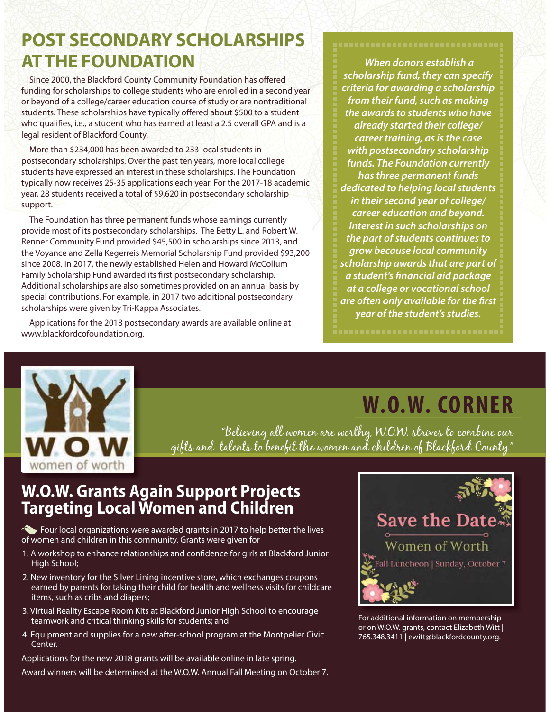# **POST SECONDARY SCHOLARSHIPS AT THE FOUNDATION**

Since 2000, the Blackford County Community Foundation has offered funding for scholarships to college students who are enrolled in a second year or beyond of a college/career education course of study or are nontraditional students. These scholarships have typically offered about \$500 to a student who qualifies, i.e., a student who has earned at least a 2.5 overall GPA and is a legal resident of Blackford County.

More than \$234,000 has been awarded to 233 local students in postsecondary scholarships. Over the past ten years, more local college students have expressed an interest in these scholarships. The Foundation typically now receives 25-35 applications each year. For the 2017-18 academic year, 28 students received a total of \$9,620 in postsecondary scholarship support.

The Foundation has three permanent funds whose earnings currently provide most of its postsecondary scholarships. The Betty L. and Robert W. Renner Community Fund provided \$45,500 in scholarships since 2013, and the Voyance and Zella Kegerreis Memorial Scholarship Fund provided \$93,200 since 2008. In 2017, the newly established Helen and Howard McCollum Family Scholarship Fund awarded its first postsecondary scholarship. Additional scholarships are also sometimes provided on an annual basis by special contributions. For example, in 2017 two additional postsecondary scholarships were given by Tri-Kappa Associates.

Applications for the 2018 postsecondary awards are available online at www.blackfordcofoundation.org.

 **When donors establish a scholarship fund, they can specify criteria for awarding a scholarship from their fund, such as making the awards to students who have already started their college/ career training, as is the case with postsecondary scholarship funds. The Foundation currently has three permanent funds dedicated to helping local students in their second year of college/ career education and beyond. Interest in such scholarships on the part of students continues to grow because local community scholarship awards that are part of a student's financial aid package at a college or vocational school are often only available for the first year of the student's studies.**

# **WOW** women of worth

W.O.W. CORNER

**W.O.W. CORNER** "Believing all women are worthy, W.O.W. strives to combine our gifts and talents to benefit the women and children of Blackford County."

# **W.O.W. Grants Again Support Projects Targeting Local Women and Children**

Four local organizations were awarded grants in 2017 to help better the lives of women and children in this community. Grants were given for

- 1. A workshop to enhance relationships and confidence for girls at Blackford Junior High School;
- 2. New inventory for the Silver Lining incentive store, which exchanges coupons earned by parents for taking their child for health and wellness visits for childcare items, such as cribs and diapers;
- 3. Virtual Reality Escape Room Kits at Blackford Junior High School to encourage teamwork and critical thinking skills for students; and
- 4. Equipment and supplies for a new after-school program at the Montpelier Civic Center.

Applications for the new 2018 grants will be available online in late spring.

Award winners will be determined at the W.O.W. Annual Fall Meeting on October 7.



For additional information on membership or on W.O.W. grants, contact Elizabeth Witt | 765.348.3411 | ewitt@blackfordcounty.org.